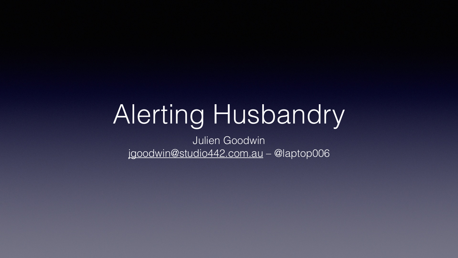### Alerting Husbandry Julien Goodwin [jgoodwin@studio442.com.au](mailto:jgoodwin@studio442.com.au) – @laptop006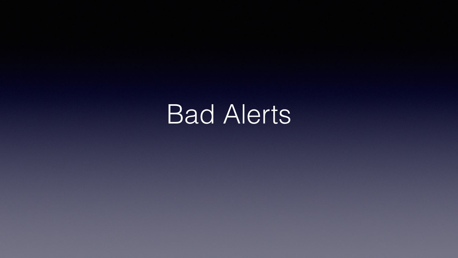Bad Alerts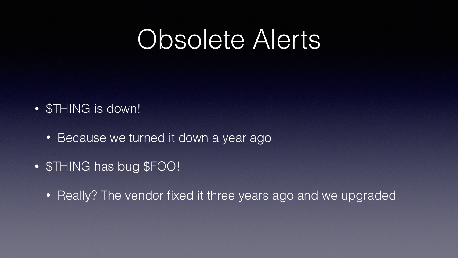# Obsolete Alerts

- \$THING is down!
	- Because we turned it down a year ago
- \$THING has bug \$FOO!
	-

• Really? The vendor fixed it three years ago and we upgraded.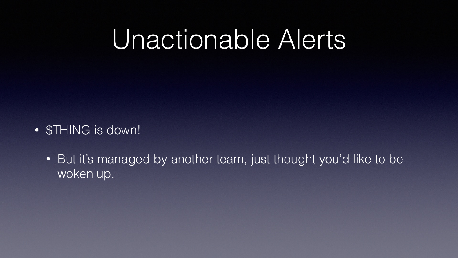## Unactionable Alerts

- \$THING is down!
	- woken up.

• But it's managed by another team, just thought you'd like to be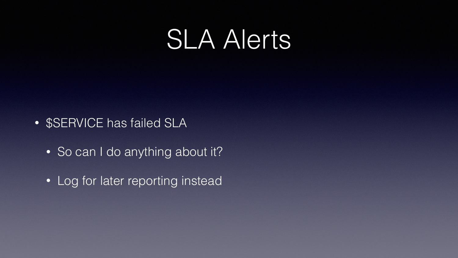### SLA Alerts

- \$SERVICE has failed SLA
	- So can I do anything about it?
	- Log for later reporting instead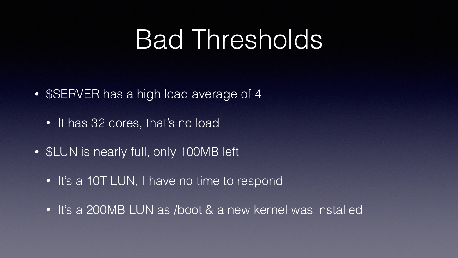## Bad Thresholds

- \$SERVER has a high load average of 4
	- It has 32 cores, that's no load
- \$LUN is nearly full, only 100MB left
	- It's a 10T LUN, I have no time to respond
	- It's a 200MB LUN as /boot & a new kernel was installed
- 
-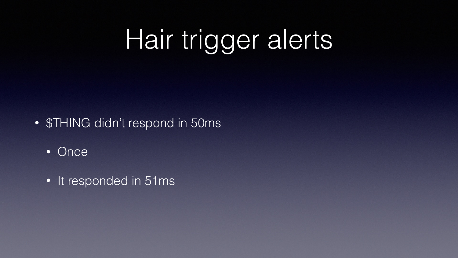# Hair trigger alerts

- \$THING didn't respond in 50ms
	- Once
	- It responded in 51ms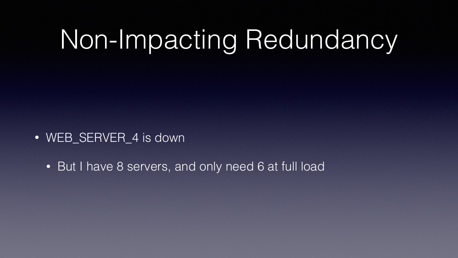# Non-Impacting Redundancy

### • WEB\_SERVER\_4 is down

• But I have 8 servers, and only need 6 at full load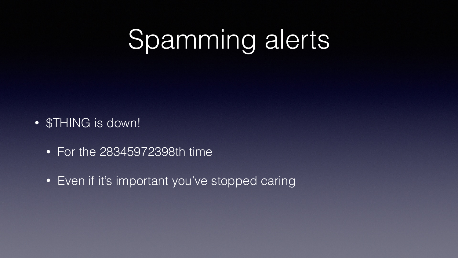# Spamming alerts

- \$THING is down!
	- For the 28345972398th time
	- Even if it's important you've stopped caring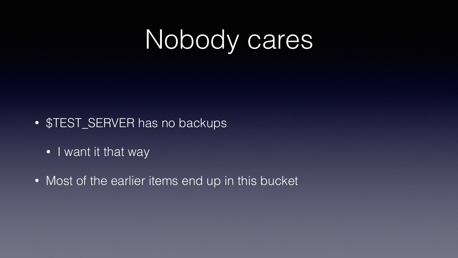

- \$TEST\_SERVER has no backups
	- I want it that way
- Most of the earlier items end up in this bucket

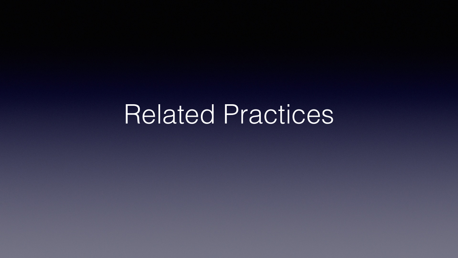### Related Practices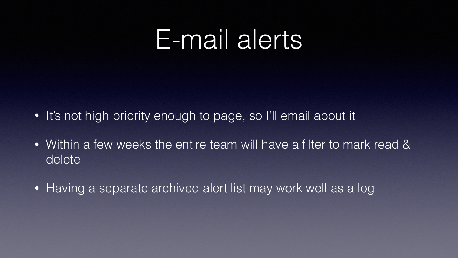## E-mail alerts

- It's not high priority enough to page, so I'll email about it
- delete
- Having a separate archived alert list may work well as a log

• Within a few weeks the entire team will have a filter to mark read &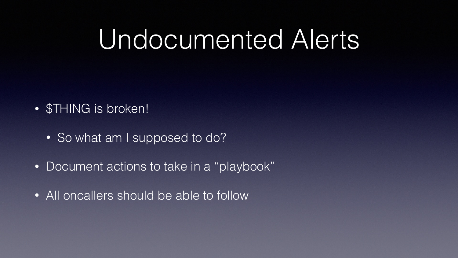## Undocumented Alerts

- \$THING is broken!
	- So what am I supposed to do?
- Document actions to take in a "playbook"
- All oncallers should be able to follow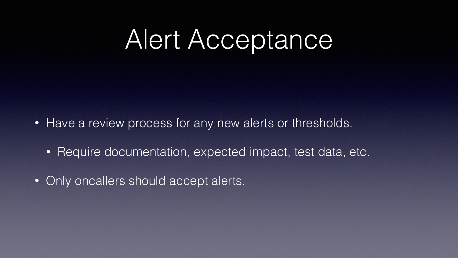# Alert Acceptance

- Have a review process for any new alerts or thresholds.
	- Require documentation, expected impact, test data, etc.
- Only oncallers should accept alerts.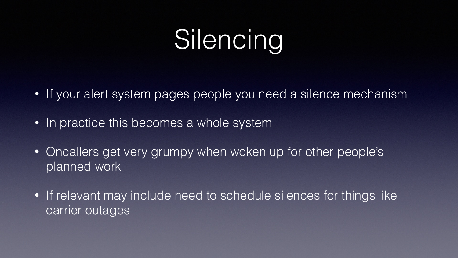# Silencing

- If your alert system pages people you need a silence mechanism
- In practice this becomes a whole system
- Oncallers get very grumpy when woken up for other people's planned work
- If relevant may include need to schedule silences for things like carrier outages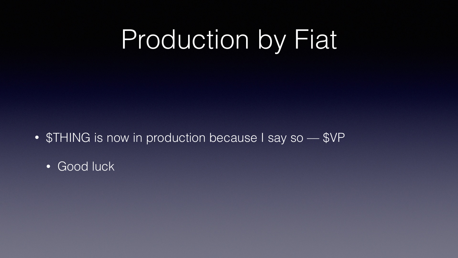# Production by Fiat

- **\$THING** is now in production because I say so \$VP
	- Good luck